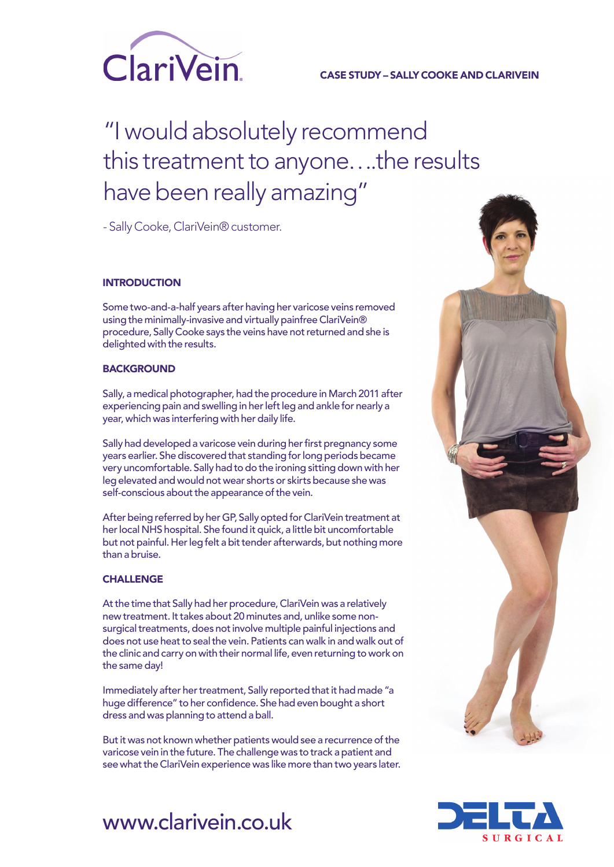

### CASE STUDY – SALLY COOKE AND CLARIVEIN

# "I would absolutely recommend this treatment to anyone….the results have been really amazing"

- Sally Cooke, ClariVein® customer.

#### **INTRODUCTION**

Some two-and-a-half years after having her varicose veins removed using the minimally-invasive and virtually painfree ClariVein® procedure, Sally Cooke says the veins have not returned and she is delighted with the results.

#### **BACKGROUND**

Sally, a medical photographer, had the procedure in March 2011 after experiencing pain and swelling in her left leg and ankle for nearly a year, which was interfering with her daily life.

Sally had developed a varicose vein during her first pregnancy some years earlier. She discovered that standing for long periods became very uncomfortable. Sally had to do the ironing sitting down with her leg elevated and would not wear shorts or skirts because she was self-conscious about the appearance of the vein.

After being referred by her GP, Sally opted for ClariVein treatment at her local NHS hospital. She found it quick, a little bit uncomfortable but not painful. Her leg felt a bit tender afterwards, but nothing more than a bruise.

#### **CHALLENGE**

At the time that Sally had her procedure, ClariVein was a relatively new treatment. It takes about 20 minutes and, unlike some nonsurgical treatments, does not involve multiple painful injections and does not use heat to seal the vein. Patients can walk in and walk out of the clinic and carry on with their normal life, even returning to work on the same day!

Immediately after her treatment, Sally reported that it had made "a huge difference" to her confidence. She had even bought a short dress and was planning to attend a ball.

But it was not known whether patients would see a recurrence of the varicose vein in the future. The challenge was to track a patient and see what the ClariVein experience was like more than two years later.





## www.clarivein.co.uk